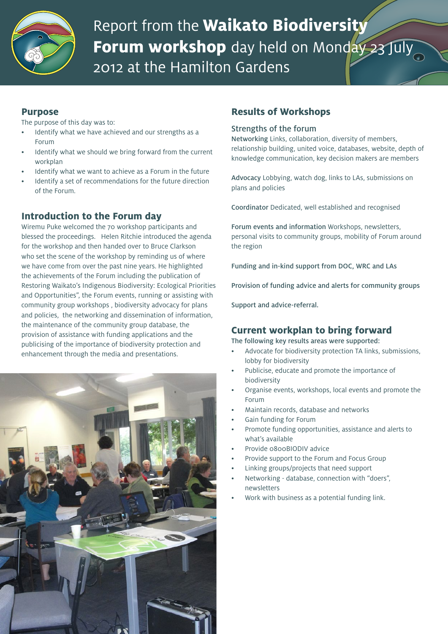

# Report from the **Waikato Biodiversity Forum workshop** day held on Monday 23 July 2012 at the Hamilton Gardens

## **Purpose**

The purpose of this day was to:

- Identify what we have achieved and our strengths as a Forum
- Identify what we should we bring forward from the current workplan
- Identify what we want to achieve as a Forum in the future
- Identify a set of recommendations for the future direction of the Forum.

# **Introduction to the Forum day**

Wiremu Puke welcomed the 70 workshop participants and blessed the proceedings. Helen Ritchie introduced the agenda for the workshop and then handed over to Bruce Clarkson who set the scene of the workshop by reminding us of where we have come from over the past nine years. He highlighted the achievements of the Forum including the publication of Restoring Waikato's Indigenous Biodiversity: Ecological Priorities and Opportunities", the Forum events, running or assisting with community group workshops , biodiversity advocacy for plans and policies, the networking and dissemination of information, the maintenance of the community group database, the provision of assistance with funding applications and the publicising of the importance of biodiversity protection and enhancement through the media and presentations.



# **Results of Workshops**

#### Strengths of the forum

Networking Links, collaboration, diversity of members, relationship building, united voice, databases, website, depth of knowledge communication, key decision makers are members

Advocacy Lobbying, watch dog, links to LAs, submissions on plans and policies

Coordinator Dedicated, well established and recognised

Forum events and information Workshops, newsletters, personal visits to community groups, mobility of Forum around the region

Funding and in-kind support from DOC, WRC and LAs

Provision of funding advice and alerts for community groups

Support and advice-referral.

## **Current workplan to bring forward**

The following key results areas were supported:

- Advocate for biodiversity protection TA links, submissions, lobby for biodiversity
- Publicise, educate and promote the importance of biodiversity
- Organise events, workshops, local events and promote the Forum
- Maintain records, database and networks
- Gain funding for Forum
- Promote funding opportunities, assistance and alerts to what's available
- Provide o800BIODIV advice
- Provide support to the Forum and Focus Group
- Linking groups/projects that need support
- Networking database, connection with "doers". newsletters
- Work with business as a potential funding link.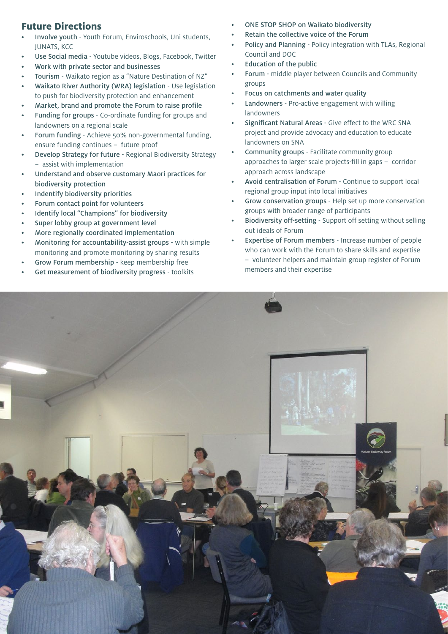# **Future Directions**

- Involve youth Youth Forum, Enviroschools, Uni students, JUNATS, KCC
- Use Social media Youtube videos, Blogs, Facebook, Twitter
- Work with private sector and businesses
- Tourism Waikato region as a "Nature Destination of NZ"
- Waikato River Authority (WRA) legislation Use legislation to push for biodiversity protection and enhancement
- Market, brand and promote the Forum to raise profile
- Funding for groups Co-ordinate funding for groups and landowners on a regional scale
- Forum funding Achieve 50% non-governmental funding, ensure funding continues – future proof
- **Develop Strategy for future Regional Biodiversity Strategy** – assist with implementation
- Understand and observe customary Maori practices for biodiversity protection
- Indentify biodiversity priorities
- Forum contact point for volunteers
- Identify local "Champions" for biodiversity
- Super lobby group at government level
- More regionally coordinated implementation
- Monitoring for accountability-assist groups with simple monitoring and promote monitoring by sharing results
- Grow Forum membership keep membership free
- Get measurement of biodiversity progress toolkits
- ONE STOP SHOP on Waikato biodiversity
- Retain the collective voice of the Forum
- Policy and Planning Policy integration with TLAs, Regional Council and DOC
- **Education of the public**
- Forum middle player between Councils and Community groups
- Focus on catchments and water quality
- Landowners Pro-active engagement with willing landowners
- Significant Natural Areas Give effect to the WRC SNA project and provide advocacy and education to educate landowners on SNA
- Community groups Facilitate community group approaches to larger scale projects-fill in gaps – corridor approach across landscape
- Avoid centralisation of Forum Continue to support local regional group input into local initiatives
- Grow conservation groups Help set up more conservation groups with broader range of participants
- Biodiversity off-setting Support off setting without selling out ideals of Forum
- Expertise of Forum members Increase number of people who can work with the Forum to share skills and expertise – volunteer helpers and maintain group register of Forum members and their expertise

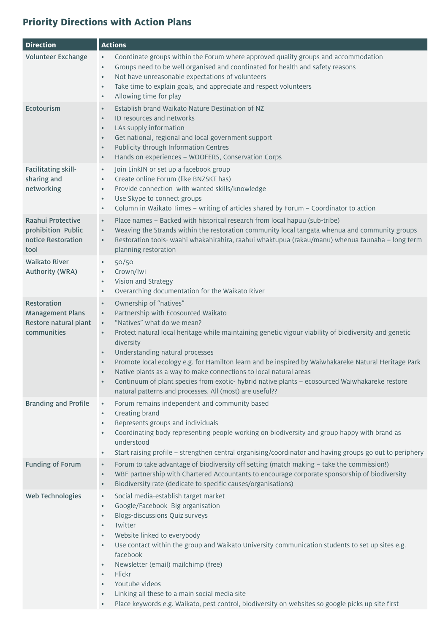# **Priority Directions with Action Plans**

| <b>Direction</b>                                                               | <b>Actions</b>                                                                                                                                                                                                                                                                                                                                                                                                                                                                                                                                                                                                                                                                           |
|--------------------------------------------------------------------------------|------------------------------------------------------------------------------------------------------------------------------------------------------------------------------------------------------------------------------------------------------------------------------------------------------------------------------------------------------------------------------------------------------------------------------------------------------------------------------------------------------------------------------------------------------------------------------------------------------------------------------------------------------------------------------------------|
| Volunteer Exchange                                                             | Coordinate groups within the Forum where approved quality groups and accommodation<br>$\bullet$<br>Groups need to be well organised and coordinated for health and safety reasons<br>$\bullet$<br>Not have unreasonable expectations of volunteers<br>$\bullet$<br>Take time to explain goals, and appreciate and respect volunteers<br>$\bullet$<br>Allowing time for play<br>$\bullet$                                                                                                                                                                                                                                                                                                 |
| Ecotourism                                                                     | Establish brand Waikato Nature Destination of NZ<br>$\bullet$<br>ID resources and networks<br>LAs supply information<br>$\bullet$<br>Get national, regional and local government support<br>$\bullet$<br>Publicity through Information Centres<br>$\bullet$<br>Hands on experiences - WOOFERS, Conservation Corps<br>$\bullet$                                                                                                                                                                                                                                                                                                                                                           |
| Facilitating skill-<br>sharing and<br>networking                               | Join LinkIN or set up a facebook group<br>$\bullet$<br>Create online Forum (like BNZSKT has)<br>$\bullet$<br>Provide connection with wanted skills/knowledge<br>$\bullet$<br>Use Skype to connect groups<br>$\bullet$<br>Column in Waikato Times - writing of articles shared by Forum - Coordinator to action<br>$\bullet$                                                                                                                                                                                                                                                                                                                                                              |
| Raahui Protective<br>prohibition Public<br>notice Restoration<br>tool          | Place names - Backed with historical research from local hapuu (sub-tribe)<br>$\bullet$<br>Weaving the Strands within the restoration community local tangata whenua and community groups<br>$\bullet$<br>Restoration tools- waahi whakahirahira, raahui whaktupua (rakau/manu) whenua taunaha - long term<br>$\bullet$<br>planning restoration                                                                                                                                                                                                                                                                                                                                          |
| <b>Waikato River</b><br>Authority (WRA)                                        | 50/50<br>$\bullet$<br>Crown/Iwi<br>Vision and Strategy<br>$\bullet$<br>Overarching documentation for the Waikato River<br>$\bullet$                                                                                                                                                                                                                                                                                                                                                                                                                                                                                                                                                      |
| Restoration<br><b>Management Plans</b><br>Restore natural plant<br>communities | Ownership of "natives"<br>$\bullet$<br>Partnership with Ecosourced Waikato<br>$\bullet$<br>"Natives" what do we mean?<br>$\bullet$<br>Protect natural local heritage while maintaining genetic vigour viability of biodiversity and genetic<br>$\bullet$<br>diversity<br>Understanding natural processes<br>$\bullet$<br>Promote local ecology e.g. for Hamilton learn and be inspired by Waiwhakareke Natural Heritage Park<br>$\bullet$<br>Native plants as a way to make connections to local natural areas<br>Continuum of plant species from exotic- hybrid native plants - ecosourced Waiwhakareke restore<br>$\bullet$<br>natural patterns and processes. All (most) are useful?? |
| <b>Branding and Profile</b>                                                    | Forum remains independent and community based<br>$\bullet$<br>Creating brand<br>$\bullet$<br>Represents groups and individuals<br>Coordinating body representing people working on biodiversity and group happy with brand as<br>$\bullet$<br>understood<br>Start raising profile - strengthen central organising/coordinator and having groups go out to periphery<br>$\bullet$                                                                                                                                                                                                                                                                                                         |
| <b>Funding of Forum</b>                                                        | Forum to take advantage of biodiversity off setting (match making - take the commission!)<br>$\bullet$<br>WBF partnership with Chartered Accountants to encourage corporate sponsorship of biodiversity<br>$\bullet$<br>Biodiversity rate (dedicate to specific causes/organisations)<br>$\bullet$                                                                                                                                                                                                                                                                                                                                                                                       |
| Web Technologies                                                               | Social media-establish target market<br>$\bullet$<br>Google/Facebook Big organisation<br>$\bullet$<br><b>Blogs-discussions Quiz surveys</b><br>$\bullet$<br>Twitter<br>$\bullet$<br>Website linked to everybody<br>$\bullet$<br>Use contact within the group and Waikato University communication students to set up sites e.g.<br>$\bullet$<br>facebook<br>Newsletter (email) mailchimp (free)<br>$\bullet$<br>Flickr<br>$\bullet$<br>Youtube videos<br>$\bullet$<br>Linking all these to a main social media site<br>$\bullet$<br>Place keywords e.g. Waikato, pest control, biodiversity on websites so google picks up site first<br>$\bullet$                                       |